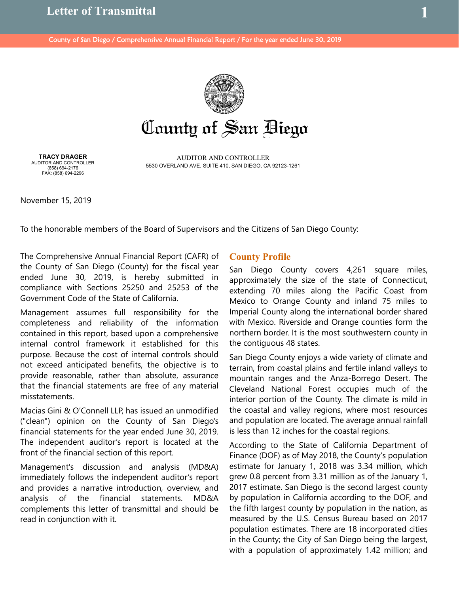

County of San Biego

AUDITOR AND CONTROLLER 5530 OVERLAND AVE, SUITE 410, SAN DIEGO, CA 92123-1261

**TRACY DRAGER** AUDITOR AND CONTROLLER (858) 694-2176 FAX: (858) 694-2296

November 15, 2019

To the honorable members of the Board of Supervisors and the Citizens of San Diego County:

The Comprehensive Annual Financial Report (CAFR) of the County of San Diego (County) for the fiscal year ended June 30, 2019, is hereby submitted in compliance with Sections 25250 and 25253 of the Government Code of the State of California.

Management assumes full responsibility for the completeness and reliability of the information contained in this report, based upon a comprehensive internal control framework it established for this purpose. Because the cost of internal controls should not exceed anticipated benefits, the objective is to provide reasonable, rather than absolute, assurance that the financial statements are free of any material misstatements.

Macias Gini & O'Connell LLP, has issued an unmodified ("clean") opinion on the County of San Diego's financial statements for the year ended June 30, 2019. The independent auditor's report is located at the front of the financial section of this report.

Management's discussion and analysis (MD&A) immediately follows the independent auditor's report and provides a narrative introduction, overview, and analysis of the financial statements. MD&A complements this letter of transmittal and should be read in conjunction with it.

## **County Profile**

San Diego County covers 4,261 square miles, approximately the size of the state of Connecticut, extending 70 miles along the Pacific Coast from Mexico to Orange County and inland 75 miles to Imperial County along the international border shared with Mexico. Riverside and Orange counties form the northern border. It is the most southwestern county in the contiguous 48 states.

San Diego County enjoys a wide variety of climate and terrain, from coastal plains and fertile inland valleys to mountain ranges and the Anza-Borrego Desert. The Cleveland National Forest occupies much of the interior portion of the County. The climate is mild in the coastal and valley regions, where most resources and population are located. The average annual rainfall is less than 12 inches for the coastal regions.

According to the State of California Department of Finance (DOF) as of May 2018, the County's population estimate for January 1, 2018 was 3.34 million, which grew 0.8 percent from 3.31 million as of the January 1, 2017 estimate. San Diego is the second largest county by population in California according to the DOF, and the fifth largest county by population in the nation, as measured by the U.S. Census Bureau based on 2017 population estimates. There are 18 incorporated cities in the County; the City of San Diego being the largest, with a population of approximately 1.42 million; and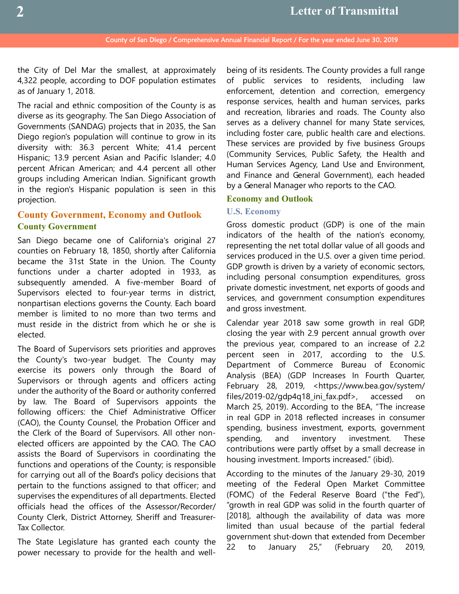the City of Del Mar the smallest, at approximately 4,322 people, according to DOF population estimates as of January 1, 2018.

The racial and ethnic composition of the County is as diverse as its geography. The San Diego Association of Governments (SANDAG) projects that in 2035, the San Diego region's population will continue to grow in its diversity with: 36.3 percent White; 41.4 percent Hispanic; 13.9 percent Asian and Pacific Islander; 4.0 percent African American; and 4.4 percent all other groups including American Indian. Significant growth in the region's Hispanic population is seen in this projection.

# **County Government, Economy and Outlook County Government**

San Diego became one of California's original 27 counties on February 18, 1850, shortly after California became the 31st State in the Union. The County functions under a charter adopted in 1933, as subsequently amended. A five-member Board of Supervisors elected to four-year terms in district, nonpartisan elections governs the County. Each board member is limited to no more than two terms and must reside in the district from which he or she is elected.

The Board of Supervisors sets priorities and approves the County's two-year budget. The County may exercise its powers only through the Board of Supervisors or through agents and officers acting under the authority of the Board or authority conferred by law. The Board of Supervisors appoints the following officers: the Chief Administrative Officer (CAO), the County Counsel, the Probation Officer and the Clerk of the Board of Supervisors. All other nonelected officers are appointed by the CAO. The CAO assists the Board of Supervisors in coordinating the functions and operations of the County; is responsible for carrying out all of the Board's policy decisions that pertain to the functions assigned to that officer; and supervises the expenditures of all departments. Elected officials head the offices of the Assessor/Recorder/ County Clerk, District Attorney, Sheriff and Treasurer-Tax Collector.

The State Legislature has granted each county the power necessary to provide for the health and wellbeing of its residents. The County provides a full range of public services to residents, including law enforcement, detention and correction, emergency response services, health and human services, parks and recreation, libraries and roads. The County also serves as a delivery channel for many State services, including foster care, public health care and elections. These services are provided by five business Groups (Community Services, Public Safety, the Health and Human Services Agency, Land Use and Environment, and Finance and General Government), each headed by a General Manager who reports to the CAO.

### **Economy and Outlook**

### **U.S. Economy**

Gross domestic product (GDP) is one of the main indicators of the health of the nation's economy, representing the net total dollar value of all goods and services produced in the U.S. over a given time period. GDP growth is driven by a variety of economic sectors, including personal consumption expenditures, gross private domestic investment, net exports of goods and services, and government consumption expenditures and gross investment.

Calendar year 2018 saw some growth in real GDP, closing the year with 2.9 percent annual growth over the previous year, compared to an increase of 2.2 percent seen in 2017, according to the U.S. Department of Commerce Bureau of Economic Analysis (BEA) (GDP Increases In Fourth Quarter, February 28, 2019, <https://www.bea.gov/system/ files/2019-02/gdp4q18\_ini\_fax.pdf>, accessed on March 25, 2019). According to the BEA, "The increase in real GDP in 2018 reflected increases in consumer spending, business investment, exports, government spending, and inventory investment. These contributions were partly offset by a small decrease in housing investment. Imports increased." (ibid).

According to the minutes of the January 29-30, 2019 meeting of the Federal Open Market Committee (FOMC) of the Federal Reserve Board ("the Fed"), "growth in real GDP was solid in the fourth quarter of [2018], although the availability of data was more limited than usual because of the partial federal government shut-down that extended from December 22 to January 25," (February 20, 2019,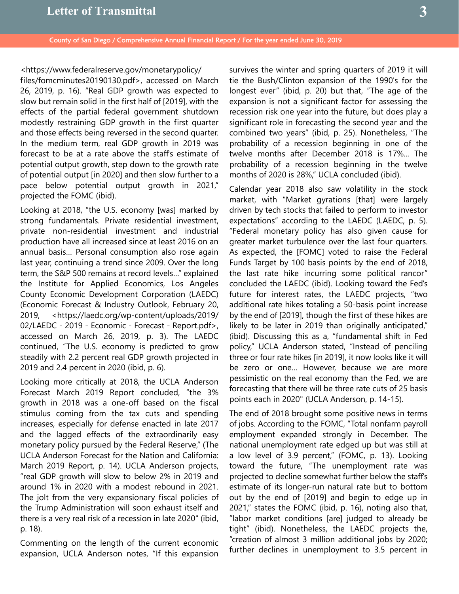<https://www.federalreserve.gov/monetarypolicy/ files/fomcminutes20190130.pdf>, accessed on March 26, 2019, p. 16). "Real GDP growth was expected to slow but remain solid in the first half of [2019], with the effects of the partial federal government shutdown modestly restraining GDP growth in the first quarter and those effects being reversed in the second quarter. In the medium term, real GDP growth in 2019 was forecast to be at a rate above the staff's estimate of potential output growth, step down to the growth rate of potential output [in 2020] and then slow further to a pace below potential output growth in 2021," projected the FOMC (ibid).

Looking at 2018, "the U.S. economy [was] marked by strong fundamentals. Private residential investment, private non-residential investment and industrial production have all increased since at least 2016 on an annual basis… Personal consumption also rose again last year, continuing a trend since 2009. Over the long term, the S&P 500 remains at record levels…" explained the Institute for Applied Economics, Los Angeles County Economic Development Corporation (LAEDC) (Economic Forecast & Industry Outlook, February 20, 2019, <https://laedc.org/wp-content/uploads/2019/ 02/LAEDC - 2019 - Economic - Forecast - Report.pdf>, accessed on March 26, 2019, p. 3). The LAEDC continued, "The U.S. economy is predicted to grow steadily with 2.2 percent real GDP growth projected in 2019 and 2.4 percent in 2020 (ibid, p. 6).

Looking more critically at 2018, the UCLA Anderson Forecast March 2019 Report concluded, "the 3% growth in 2018 was a one-off based on the fiscal stimulus coming from the tax cuts and spending increases, especially for defense enacted in late 2017 and the lagged effects of the extraordinarily easy monetary policy pursued by the Federal Reserve," (The UCLA Anderson Forecast for the Nation and California: March 2019 Report, p. 14). UCLA Anderson projects, "real GDP growth will slow to below 2% in 2019 and around 1% in 2020 with a modest rebound in 2021. The jolt from the very expansionary fiscal policies of the Trump Administration will soon exhaust itself and there is a very real risk of a recession in late 2020" (ibid, p. 18).

Commenting on the length of the current economic expansion, UCLA Anderson notes, "If this expansion

survives the winter and spring quarters of 2019 it will tie the Bush/Clinton expansion of the 1990's for the longest ever" (ibid, p. 20) but that, "The age of the expansion is not a significant factor for assessing the recession risk one year into the future, but does play a significant role in forecasting the second year and the combined two years" (ibid, p. 25). Nonetheless, "The probability of a recession beginning in one of the twelve months after December 2018 is 17%... The probability of a recession beginning in the twelve months of 2020 is 28%," UCLA concluded (ibid).

Calendar year 2018 also saw volatility in the stock market, with "Market gyrations [that] were largely driven by tech stocks that failed to perform to investor expectations" according to the LAEDC (LAEDC, p. 5). "Federal monetary policy has also given cause for greater market turbulence over the last four quarters. As expected, the [FOMC] voted to raise the Federal Funds Target by 100 basis points by the end of 2018, the last rate hike incurring some political rancor" concluded the LAEDC (ibid). Looking toward the Fed's future for interest rates, the LAEDC projects, "two additional rate hikes totaling a 50-basis point increase by the end of [2019], though the first of these hikes are likely to be later in 2019 than originally anticipated," (ibid). Discussing this as a, "fundamental shift in Fed policy," UCLA Anderson stated, "Instead of penciling three or four rate hikes [in 2019], it now looks like it will be zero or one… However, because we are more pessimistic on the real economy than the Fed, we are forecasting that there will be three rate cuts of 25 basis points each in 2020" (UCLA Anderson, p. 14-15).

The end of 2018 brought some positive news in terms of jobs. According to the FOMC, "Total nonfarm payroll employment expanded strongly in December. The national unemployment rate edged up but was still at a low level of 3.9 percent," (FOMC, p. 13). Looking toward the future, "The unemployment rate was projected to decline somewhat further below the staff's estimate of its longer-run natural rate but to bottom out by the end of [2019] and begin to edge up in 2021," states the FOMC (ibid, p. 16), noting also that, "labor market conditions [are] judged to already be tight" (ibid). Nonetheless, the LAEDC projects the, "creation of almost 3 million additional jobs by 2020; further declines in unemployment to 3.5 percent in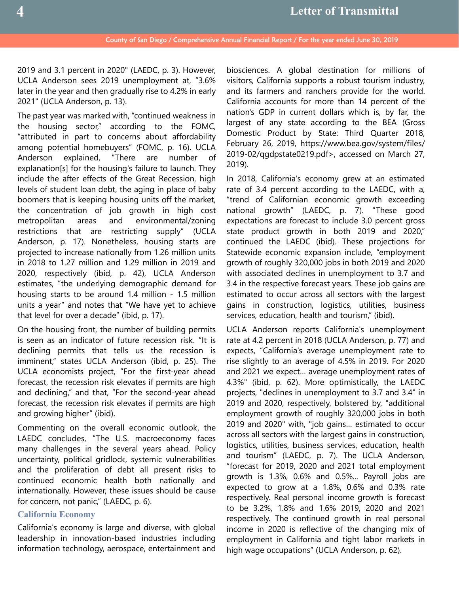2019 and 3.1 percent in 2020" (LAEDC, p. 3). However, UCLA Anderson sees 2019 unemployment at, "3.6% later in the year and then gradually rise to 4.2% in early 2021" (UCLA Anderson, p. 13).

The past year was marked with, "continued weakness in the housing sector," according to the FOMC, "attributed in part to concerns about affordability among potential homebuyers" (FOMC, p. 16). UCLA Anderson explained, "There are number of explanation[s] for the housing's failure to launch. They include the after effects of the Great Recession, high levels of student loan debt, the aging in place of baby boomers that is keeping housing units off the market, the concentration of job growth in high cost metropolitan areas and environmental/zoning restrictions that are restricting supply" (UCLA Anderson, p. 17). Nonetheless, housing starts are projected to increase nationally from 1.26 million units in 2018 to 1.27 million and 1.29 million in 2019 and 2020, respectively (ibid, p. 42), UCLA Anderson estimates, "the underlying demographic demand for housing starts to be around 1.4 million - 1.5 million units a year" and notes that "We have yet to achieve that level for over a decade" (ibid, p. 17).

On the housing front, the number of building permits is seen as an indicator of future recession risk. "It is declining permits that tells us the recession is imminent," states UCLA Anderson (ibid, p. 25). The UCLA economists project, "For the first-year ahead forecast, the recession risk elevates if permits are high and declining," and that, "For the second-year ahead forecast, the recession risk elevates if permits are high and growing higher" (ibid).

Commenting on the overall economic outlook, the LAEDC concludes, "The U.S. macroeconomy faces many challenges in the several years ahead. Policy uncertainty, political gridlock, systemic vulnerabilities and the proliferation of debt all present risks to continued economic health both nationally and internationally. However, these issues should be cause for concern, not panic," (LAEDC, p. 6).

### **California Economy**

California's economy is large and diverse, with global leadership in innovation-based industries including information technology, aerospace, entertainment and

biosciences. A global destination for millions of visitors, California supports a robust tourism industry, and its farmers and ranchers provide for the world. California accounts for more than 14 percent of the nation's GDP in current dollars which is, by far, the largest of any state according to the BEA (Gross Domestic Product by State: Third Quarter 2018, February 26, 2019, https://www.bea.gov/system/files/ 2019-02/qgdpstate0219.pdf>, accessed on March 27, 2019).

In 2018, California's economy grew at an estimated rate of 3.4 percent according to the LAEDC, with a, "trend of Californian economic growth exceeding national growth" (LAEDC, p. 7). "These good expectations are forecast to include 3.0 percent gross state product growth in both 2019 and 2020," continued the LAEDC (ibid). These projections for Statewide economic expansion include, "employment growth of roughly 320,000 jobs in both 2019 and 2020 with associated declines in unemployment to 3.7 and 3.4 in the respective forecast years. These job gains are estimated to occur across all sectors with the largest gains in construction, logistics, utilities, business services, education, health and tourism," (ibid).

UCLA Anderson reports California's unemployment rate at 4.2 percent in 2018 (UCLA Anderson, p. 77) and expects, "California's average unemployment rate to rise slightly to an average of 4.5% in 2019. For 2020 and 2021 we expect… average unemployment rates of 4.3%" (ibid, p. 62). More optimistically, the LAEDC projects, "declines in unemployment to 3.7 and 3.4" in 2019 and 2020, respectively, bolstered by, "additional employment growth of roughly 320,000 jobs in both 2019 and 2020" with, "job gains… estimated to occur across all sectors with the largest gains in construction, logistics, utilities, business services, education, health and tourism" (LAEDC, p. 7). The UCLA Anderson, "forecast for 2019, 2020 and 2021 total employment growth is 1.3%, 0.6% and 0.5%... Payroll jobs are expected to grow at a 1.8%, 0.6% and 0.3% rate respectively. Real personal income growth is forecast to be 3.2%, 1.8% and 1.6% 2019, 2020 and 2021 respectively. The continued growth in real personal income in 2020 is reflective of the changing mix of employment in California and tight labor markets in high wage occupations" (UCLA Anderson, p. 62).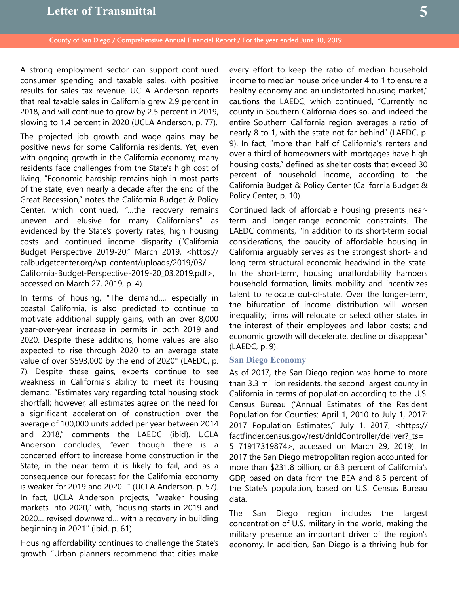A strong employment sector can support continued consumer spending and taxable sales, with positive results for sales tax revenue. UCLA Anderson reports that real taxable sales in California grew 2.9 percent in 2018, and will continue to grow by 2.5 percent in 2019, slowing to 1.4 percent in 2020 (UCLA Anderson, p. 77).

The projected job growth and wage gains may be positive news for some California residents. Yet, even with ongoing growth in the California economy, many residents face challenges from the State's high cost of living. "Economic hardship remains high in most parts of the state, even nearly a decade after the end of the Great Recession," notes the California Budget & Policy Center, which continued, "…the recovery remains uneven and elusive for many Californians" as evidenced by the State's poverty rates, high housing costs and continued income disparity ("California Budget Perspective 2019-20," March 2019, <https:// calbudgetcenter.org/wp-content/uploads/2019/03/ California-Budget-Perspective-2019-20\_03.2019.pdf>, accessed on March 27, 2019, p. 4).

In terms of housing, "The demand…, especially in coastal California, is also predicted to continue to motivate additional supply gains, with an over 8,000 year-over-year increase in permits in both 2019 and 2020. Despite these additions, home values are also expected to rise through 2020 to an average state value of over \$593,000 by the end of 2020" (LAEDC, p. 7). Despite these gains, experts continue to see weakness in California's ability to meet its housing demand. "Estimates vary regarding total housing stock shortfall; however, all estimates agree on the need for a significant acceleration of construction over the average of 100,000 units added per year between 2014 and 2018," comments the LAEDC (ibid). UCLA Anderson concludes, "even though there is a concerted effort to increase home construction in the State, in the near term it is likely to fail, and as a consequence our forecast for the California economy is weaker for 2019 and 2020…" (UCLA Anderson, p. 57). In fact, UCLA Anderson projects, "weaker housing markets into 2020," with, "housing starts in 2019 and 2020… revised downward… with a recovery in building beginning in 2021" (ibid, p. 61).

Housing affordability continues to challenge the State's growth. "Urban planners recommend that cities make every effort to keep the ratio of median household income to median house price under 4 to 1 to ensure a healthy economy and an undistorted housing market," cautions the LAEDC, which continued, "Currently no county in Southern California does so, and indeed the entire Southern California region averages a ratio of nearly 8 to 1, with the state not far behind" (LAEDC, p. 9). In fact, "more than half of California's renters and over a third of homeowners with mortgages have high housing costs," defined as shelter costs that exceed 30 percent of household income, according to the California Budget & Policy Center (California Budget & Policy Center, p. 10).

Continued lack of affordable housing presents nearterm and longer-range economic constraints. The LAEDC comments, "In addition to its short-term social considerations, the paucity of affordable housing in California arguably serves as the strongest short- and long-term structural economic headwind in the state. In the short-term, housing unaffordability hampers household formation, limits mobility and incentivizes talent to relocate out-of-state. Over the longer-term, the bifurcation of income distribution will worsen inequality; firms will relocate or select other states in the interest of their employees and labor costs; and economic growth will decelerate, decline or disappear" (LAEDC, p. 9).

### **San Diego Economy**

As of 2017, the San Diego region was home to more than 3.3 million residents, the second largest county in California in terms of population according to the U.S. Census Bureau ("Annual Estimates of the Resident Population for Counties: April 1, 2010 to July 1, 2017: 2017 Population Estimates," July 1, 2017, <https:// factfinder.census.gov/rest/dnldController/deliver?\_ts= 5 71917319874>, accessed on March 29, 2019). In 2017 the San Diego metropolitan region accounted for more than \$231.8 billion, or 8.3 percent of California's GDP, based on data from the BEA and 8.5 percent of the State's population, based on U.S. Census Bureau data.

The San Diego region includes the largest concentration of U.S. military in the world, making the military presence an important driver of the region's economy. In addition, San Diego is a thriving hub for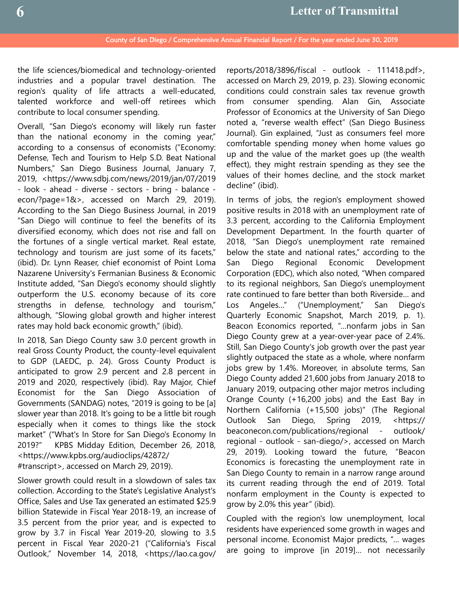the life sciences/biomedical and technology-oriented industries and a popular travel destination. The region's quality of life attracts a well-educated, talented workforce and well-off retirees which contribute to local consumer spending.

Overall, "San Diego's economy will likely run faster than the national economy in the coming year," according to a consensus of economists ("Economy: Defense, Tech and Tourism to Help S.D. Beat National Numbers," San Diego Business Journal, January 7, 2019, <https://www.sdbj.com/news/2019/jan/07/2019 - look - ahead - diverse - sectors - bring - balance econ/?page=1&>, accessed on March 29, 2019). According to the San Diego Business Journal, in 2019 "San Diego will continue to feel the benefits of its diversified economy, which does not rise and fall on the fortunes of a single vertical market. Real estate, technology and tourism are just some of its facets," (ibid). Dr. Lynn Reaser, chief economist of Point Loma Nazarene University's Fermanian Business & Economic Institute added, "San Diego's economy should slightly outperform the U.S. economy because of its core strengths in defense, technology and tourism," although, "Slowing global growth and higher interest rates may hold back economic growth," (ibid).

In 2018, San Diego County saw 3.0 percent growth in real Gross County Product, the county-level equivalent to GDP (LAEDC, p. 24). Gross County Product is anticipated to grow 2.9 percent and 2.8 percent in 2019 and 2020, respectively (ibid). Ray Major, Chief Economist for the San Diego Association of Governments (SANDAG) notes, "2019 is going to be [a] slower year than 2018. It's going to be a little bit rough especially when it comes to things like the stock market" ("What's In Store for San Diego's Economy In 2019?" KPBS Midday Edition, December 26, 2018, <https://www.kpbs.org/audioclips/42872/ #transcript>, accessed on March 29, 2019).

Slower growth could result in a slowdown of sales tax collection. According to the State's Legislative Analyst's Office, Sales and Use Tax generated an estimated \$25.9 billion Statewide in Fiscal Year 2018-19, an increase of 3.5 percent from the prior year, and is expected to grow by 3.7 in Fiscal Year 2019-20, slowing to 3.5 percent in Fiscal Year 2020-21 ("California's Fiscal Outlook," November 14, 2018, <https://lao.ca.gov/

reports/2018/3896/fiscal - outlook - 111418.pdf>, accessed on March 29, 2019, p. 23). Slowing economic conditions could constrain sales tax revenue growth from consumer spending. Alan Gin, Associate Professor of Economics at the University of San Diego noted a, "reverse wealth effect" (San Diego Business Journal). Gin explained, "Just as consumers feel more comfortable spending money when home values go up and the value of the market goes up (the wealth effect), they might restrain spending as they see the values of their homes decline, and the stock market decline" (ibid).

In terms of jobs, the region's employment showed positive results in 2018 with an unemployment rate of 3.3 percent, according to the California Employment Development Department. In the fourth quarter of 2018, "San Diego's unemployment rate remained below the state and national rates," according to the San Diego Regional Economic Development Corporation (EDC), which also noted, "When compared to its regional neighbors, San Diego's unemployment rate continued to fare better than both Riverside… and Los Angeles…" ("Unemployment," San Diego's Quarterly Economic Snapshot, March 2019, p. 1). Beacon Economics reported, "…nonfarm jobs in San Diego County grew at a year-over-year pace of 2.4%. Still, San Diego County's job growth over the past year slightly outpaced the state as a whole, where nonfarm jobs grew by 1.4%. Moreover, in absolute terms, San Diego County added 21,600 jobs from January 2018 to January 2019, outpacing other major metros including Orange County (+16,200 jobs) and the East Bay in Northern California (+15,500 jobs)" (The Regional Outlook San Diego, Spring 2019, <https:// beaconecon.com/publications/regional - outlook/ regional - outlook - san-diego/>, accessed on March 29, 2019). Looking toward the future, "Beacon Economics is forecasting the unemployment rate in San Diego County to remain in a narrow range around its current reading through the end of 2019. Total nonfarm employment in the County is expected to grow by 2.0% this year" (ibid).

Coupled with the region's low unemployment, local residents have experienced some growth in wages and personal income. Economist Major predicts, "… wages are going to improve [in 2019]… not necessarily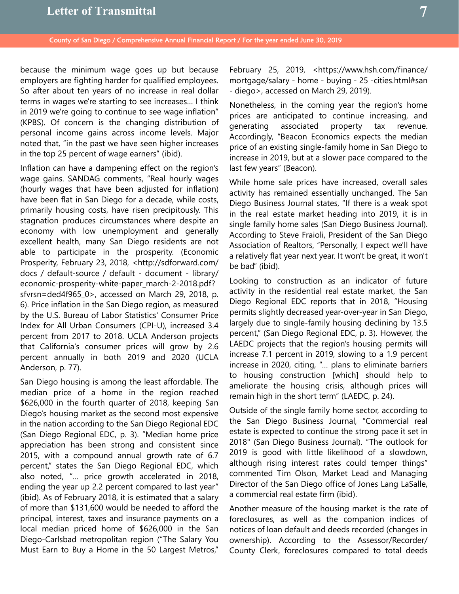because the minimum wage goes up but because employers are fighting harder for qualified employees. So after about ten years of no increase in real dollar terms in wages we're starting to see increases… I think in 2019 we're going to continue to see wage inflation" (KPBS). Of concern is the changing distribution of personal income gains across income levels. Major noted that, "in the past we have seen higher increases in the top 25 percent of wage earners" (ibid).

Inflation can have a dampening effect on the region's wage gains. SANDAG comments, "Real hourly wages (hourly wages that have been adjusted for inflation) have been flat in San Diego for a decade, while costs, primarily housing costs, have risen precipitously. This stagnation produces circumstances where despite an economy with low unemployment and generally excellent health, many San Diego residents are not able to participate in the prosperity. (Economic Prosperity, February 23, 2018, <http://sdforward.com/ docs / default-source / default - document - library/ economic-prosperity-white-paper\_march-2-2018.pdf? sfvrsn=ded4f965 0>, accessed on March 29, 2018, p. 6). Price inflation in the San Diego region, as measured by the U.S. Bureau of Labor Statistics' Consumer Price Index for All Urban Consumers (CPI-U), increased 3.4 percent from 2017 to 2018. UCLA Anderson projects that California's consumer prices will grow by 2.6 percent annually in both 2019 and 2020 (UCLA Anderson, p. 77).

San Diego housing is among the least affordable. The median price of a home in the region reached \$626,000 in the fourth quarter of 2018, keeping San Diego's housing market as the second most expensive in the nation according to the San Diego Regional EDC (San Diego Regional EDC, p. 3). "Median home price appreciation has been strong and consistent since 2015, with a compound annual growth rate of 6.7 percent," states the San Diego Regional EDC, which also noted, "… price growth accelerated in 2018, ending the year up 2.2 percent compared to last year" (ibid). As of February 2018, it is estimated that a salary of more than \$131,600 would be needed to afford the principal, interest, taxes and insurance payments on a local median priced home of \$626,000 in the San Diego-Carlsbad metropolitan region ("The Salary You Must Earn to Buy a Home in the 50 Largest Metros,"

February 25, 2019, <https://www.hsh.com/finance/ mortgage/salary - home - buying - 25 -cities.html#san - diego>, accessed on March 29, 2019).

Nonetheless, in the coming year the region's home prices are anticipated to continue increasing, and generating associated property tax revenue. Accordingly, "Beacon Economics expects the median price of an existing single-family home in San Diego to increase in 2019, but at a slower pace compared to the last few years" (Beacon).

While home sale prices have increased, overall sales activity has remained essentially unchanged. The San Diego Business Journal states, "If there is a weak spot in the real estate market heading into 2019, it is in single family home sales (San Diego Business Journal). According to Steve Fraioli, President of the San Diego Association of Realtors, "Personally, I expect we'll have a relatively flat year next year. It won't be great, it won't be bad" (ibid).

Looking to construction as an indicator of future activity in the residential real estate market, the San Diego Regional EDC reports that in 2018, "Housing permits slightly decreased year-over-year in San Diego, largely due to single-family housing declining by 13.5 percent," (San Diego Regional EDC, p. 3). However, the LAEDC projects that the region's housing permits will increase 7.1 percent in 2019, slowing to a 1.9 percent increase in 2020, citing, "… plans to eliminate barriers to housing construction [which] should help to ameliorate the housing crisis, although prices will remain high in the short term" (LAEDC, p. 24).

Outside of the single family home sector, according to the San Diego Business Journal, "Commercial real estate is expected to continue the strong pace it set in 2018" (San Diego Business Journal). "The outlook for 2019 is good with little likelihood of a slowdown, although rising interest rates could temper things" commented Tim Olson, Market Lead and Managing Director of the San Diego office of Jones Lang LaSalle, a commercial real estate firm (ibid).

Another measure of the housing market is the rate of foreclosures, as well as the companion indices of notices of loan default and deeds recorded (changes in ownership). According to the Assessor/Recorder/ County Clerk, foreclosures compared to total deeds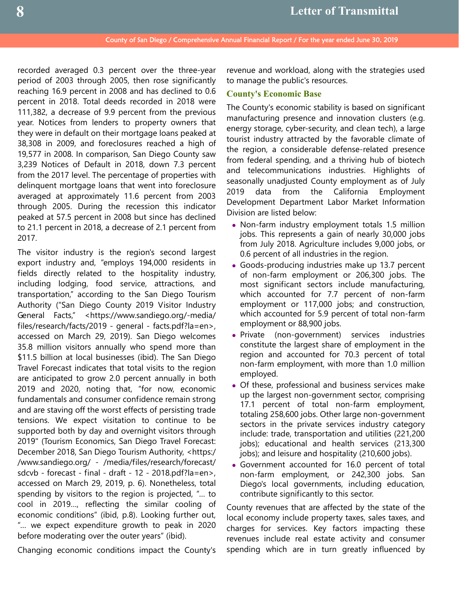recorded averaged 0.3 percent over the three-year period of 2003 through 2005, then rose significantly reaching 16.9 percent in 2008 and has declined to 0.6 percent in 2018. Total deeds recorded in 2018 were 111,382, a decrease of 9.9 percent from the previous year. Notices from lenders to property owners that they were in default on their mortgage loans peaked at 38,308 in 2009, and foreclosures reached a high of 19,577 in 2008. In comparison, San Diego County saw 3,239 Notices of Default in 2018, down 7.3 percent from the 2017 level. The percentage of properties with delinquent mortgage loans that went into foreclosure averaged at approximately 11.6 percent from 2003 through 2005. During the recession this indicator peaked at 57.5 percent in 2008 but since has declined to 21.1 percent in 2018, a decrease of 2.1 percent from 2017.

The visitor industry is the region's second largest export industry and, "employs 194,000 residents in fields directly related to the hospitality industry, including lodging, food service, attractions, and transportation," according to the San Diego Tourism Authority ("San Diego County 2019 Visitor Industry General Facts," <https://www.sandiego.org/-media/ files/research/facts/2019 - general - facts.pdf?la=en>, accessed on March 29, 2019). San Diego welcomes 35.8 million visitors annually who spend more than \$11.5 billion at local businesses (ibid). The San Diego Travel Forecast indicates that total visits to the region are anticipated to grow 2.0 percent annually in both 2019 and 2020, noting that, "for now, economic fundamentals and consumer confidence remain strong and are staving off the worst effects of persisting trade tensions. We expect visitation to continue to be supported both by day and overnight visitors through 2019" (Tourism Economics, San Diego Travel Forecast: December 2018, San Diego Tourism Authority, <https:/ /www.sandiego.org/ - /media/files/research/forecast/ sdcvb - forecast - final - draft - 12 - 2018.pdf?la=en>, accessed on March 29, 2019, p. 6). Nonetheless, total spending by visitors to the region is projected, "… to cool in 2019…, reflecting the similar cooling of economic conditions" (ibid, p.8). Looking further out, "… we expect expenditure growth to peak in 2020 before moderating over the outer years" (ibid).

Changing economic conditions impact the County's

revenue and workload, along with the strategies used to manage the public's resources.

### **County's Economic Base**

The County's economic stability is based on significant manufacturing presence and innovation clusters (e.g. energy storage, cyber-security, and clean tech), a large tourist industry attracted by the favorable climate of the region, a considerable defense-related presence from federal spending, and a thriving hub of biotech and telecommunications industries. Highlights of seasonally unadjusted County employment as of July 2019 data from the California Employment Development Department Labor Market Information Division are listed below:

- Non-farm industry employment totals 1.5 million jobs. This represents a gain of nearly 30,000 jobs from July 2018. Agriculture includes 9,000 jobs, or 0.6 percent of all industries in the region.
- Goods-producing industries make up 13.7 percent of non-farm employment or 206,300 jobs. The most significant sectors include manufacturing, which accounted for 7.7 percent of non-farm employment or 117,000 jobs; and construction, which accounted for 5.9 percent of total non-farm employment or 88,900 jobs.
- Private (non-government) services industries constitute the largest share of employment in the region and accounted for 70.3 percent of total non-farm employment, with more than 1.0 million employed.
- Of these, professional and business services make up the largest non-government sector, comprising 17.1 percent of total non-farm employment, totaling 258,600 jobs. Other large non-government sectors in the private services industry category include: trade, transportation and utilities (221,200 jobs); educational and health services (213,300 jobs); and leisure and hospitality (210,600 jobs).
- Government accounted for 16.0 percent of total non-farm employment, or 242,300 jobs. San Diego's local governments, including education, contribute significantly to this sector.

County revenues that are affected by the state of the local economy include property taxes, sales taxes, and charges for services. Key factors impacting these revenues include real estate activity and consumer spending which are in turn greatly influenced by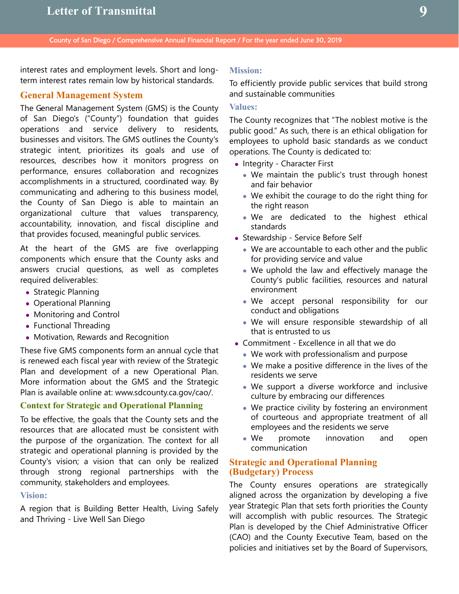interest rates and employment levels. Short and longterm interest rates remain low by historical standards.

## **General Management System**

The General Management System (GMS) is the County of San Diego's ("County") foundation that guides operations and service delivery to residents, businesses and visitors. The GMS outlines the County's strategic intent, prioritizes its goals and use of resources, describes how it monitors progress on performance, ensures collaboration and recognizes accomplishments in a structured, coordinated way. By communicating and adhering to this business model, the County of San Diego is able to maintain an organizational culture that values transparency, accountability, innovation, and fiscal discipline and that provides focused, meaningful public services.

At the heart of the GMS are five overlapping components which ensure that the County asks and answers crucial questions, as well as completes required deliverables:

- Strategic Planning
- Operational Planning
- Monitoring and Control
- Functional Threading
- Motivation, Rewards and Recognition

These five GMS components form an annual cycle that is renewed each fiscal year with review of the Strategic Plan and development of a new Operational Plan. More information about the GMS and the Strategic Plan is available online at: www.sdcounty.ca.gov/cao/.

# **Context for Strategic and Operational Planning**

To be effective, the goals that the County sets and the resources that are allocated must be consistent with the purpose of the organization. The context for all strategic and operational planning is provided by the County's vision; a vision that can only be realized through strong regional partnerships with the community, stakeholders and employees.

# **Vision:**

A region that is Building Better Health, Living Safely and Thriving - Live Well San Diego

## **Mission:**

To efficiently provide public services that build strong and sustainable communities

## **Values:**

The County recognizes that "The noblest motive is the public good." As such, there is an ethical obligation for employees to uphold basic standards as we conduct operations. The County is dedicated to:

- Integrity Character First
	- We maintain the public's trust through honest and fair behavior
	- We exhibit the courage to do the right thing for the right reason
	- We are dedicated to the highest ethical standards
- Stewardship Service Before Self
	- We are accountable to each other and the public for providing service and value
	- We uphold the law and effectively manage the County's public facilities, resources and natural environment
	- We accept personal responsibility for our conduct and obligations
	- We will ensure responsible stewardship of all that is entrusted to us
- Commitment Excellence in all that we do
	- We work with professionalism and purpose
	- We make a positive difference in the lives of the residents we serve
	- We support a diverse workforce and inclusive culture by embracing our differences
	- We practice civility by fostering an environment of courteous and appropriate treatment of all employees and the residents we serve
	- We promote innovation and open communication

## **Strategic and Operational Planning (Budgetary) Process**

The County ensures operations are strategically aligned across the organization by developing a five year Strategic Plan that sets forth priorities the County will accomplish with public resources. The Strategic Plan is developed by the Chief Administrative Officer (CAO) and the County Executive Team, based on the policies and initiatives set by the Board of Supervisors,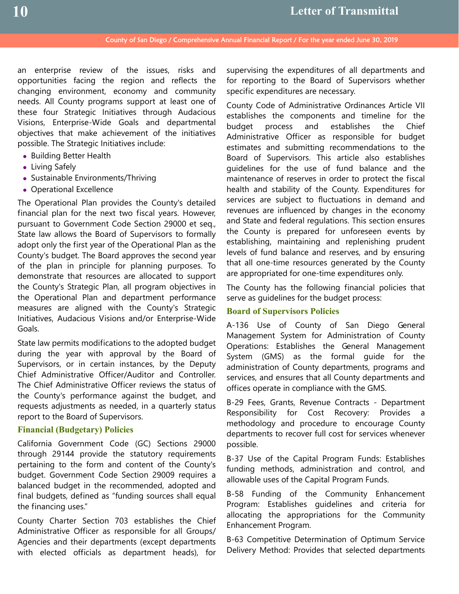an enterprise review of the issues, risks and opportunities facing the region and reflects the changing environment, economy and community needs. All County programs support at least one of these four Strategic Initiatives through Audacious Visions, Enterprise-Wide Goals and departmental objectives that make achievement of the initiatives possible. The Strategic Initiatives include:

- Building Better Health
- Living Safely
- Sustainable Environments/Thriving
- Operational Excellence

The Operational Plan provides the County's detailed financial plan for the next two fiscal years. However, pursuant to Government Code Section 29000 et seq., State law allows the Board of Supervisors to formally adopt only the first year of the Operational Plan as the County's budget. The Board approves the second year of the plan in principle for planning purposes. To demonstrate that resources are allocated to support the County's Strategic Plan, all program objectives in the Operational Plan and department performance measures are aligned with the County's Strategic Initiatives, Audacious Visions and/or Enterprise-Wide Goals.

State law permits modifications to the adopted budget during the year with approval by the Board of Supervisors, or in certain instances, by the Deputy Chief Administrative Officer/Auditor and Controller. The Chief Administrative Officer reviews the status of the County's performance against the budget, and requests adjustments as needed, in a quarterly status report to the Board of Supervisors.

## **Financial (Budgetary) Policies**

California Government Code (GC) Sections 29000 through 29144 provide the statutory requirements pertaining to the form and content of the County's budget. Government Code Section 29009 requires a balanced budget in the recommended, adopted and final budgets, defined as "funding sources shall equal the financing uses."

County Charter Section 703 establishes the Chief Administrative Officer as responsible for all Groups/ Agencies and their departments (except departments with elected officials as department heads), for

supervising the expenditures of all departments and for reporting to the Board of Supervisors whether specific expenditures are necessary.

County Code of Administrative Ordinances Article VII establishes the components and timeline for the budget process and establishes the Chief Administrative Officer as responsible for budget estimates and submitting recommendations to the Board of Supervisors. This article also establishes guidelines for the use of fund balance and the maintenance of reserves in order to protect the fiscal health and stability of the County. Expenditures for services are subject to fluctuations in demand and revenues are influenced by changes in the economy and State and federal regulations. This section ensures the County is prepared for unforeseen events by establishing, maintaining and replenishing prudent levels of fund balance and reserves, and by ensuring that all one-time resources generated by the County are appropriated for one-time expenditures only.

The County has the following financial policies that serve as guidelines for the budget process:

## **Board of Supervisors Policies**

A-136 Use of County of San Diego General Management System for Administration of County Operations: Establishes the General Management System (GMS) as the formal guide for the administration of County departments, programs and services, and ensures that all County departments and offices operate in compliance with the GMS.

B-29 Fees, Grants, Revenue Contracts - Department Responsibility for Cost Recovery: Provides a methodology and procedure to encourage County departments to recover full cost for services whenever possible.

B-37 Use of the Capital Program Funds: Establishes funding methods, administration and control, and allowable uses of the Capital Program Funds.

B-58 Funding of the Community Enhancement Program: Establishes guidelines and criteria for allocating the appropriations for the Community Enhancement Program.

B-63 Competitive Determination of Optimum Service Delivery Method: Provides that selected departments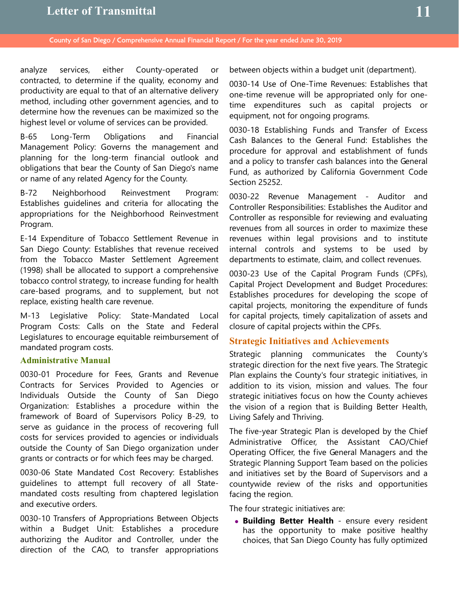# **Letter of Transmittal**

County of San Diego / Comprehensive Annual Financial Report / For the year ended June 30, 2019

analyze services, either County-operated or contracted, to determine if the quality, economy and productivity are equal to that of an alternative delivery method, including other government agencies, and to determine how the revenues can be maximized so the highest level or volume of services can be provided.

B-65 Long-Term Obligations and Financial Management Policy: Governs the management and planning for the long-term financial outlook and obligations that bear the County of San Diego's name or name of any related Agency for the County.

B-72 Neighborhood Reinvestment Program: Establishes guidelines and criteria for allocating the appropriations for the Neighborhood Reinvestment Program.

E-14 Expenditure of Tobacco Settlement Revenue in San Diego County: Establishes that revenue received from the Tobacco Master Settlement Agreement (1998) shall be allocated to support a comprehensive tobacco control strategy, to increase funding for health care-based programs, and to supplement, but not replace, existing health care revenue.

M-13 Legislative Policy: State-Mandated Local Program Costs: Calls on the State and Federal Legislatures to encourage equitable reimbursement of mandated program costs.

# **Administrative Manual**

0030-01 Procedure for Fees, Grants and Revenue Contracts for Services Provided to Agencies or Individuals Outside the County of San Diego Organization: Establishes a procedure within the framework of Board of Supervisors Policy B-29, to serve as guidance in the process of recovering full costs for services provided to agencies or individuals outside the County of San Diego organization under grants or contracts or for which fees may be charged.

0030-06 State Mandated Cost Recovery: Establishes guidelines to attempt full recovery of all Statemandated costs resulting from chaptered legislation and executive orders.

0030-10 Transfers of Appropriations Between Objects within a Budget Unit: Establishes a procedure authorizing the Auditor and Controller, under the direction of the CAO, to transfer appropriations between objects within a budget unit (department).

0030-14 Use of One-Time Revenues: Establishes that one-time revenue will be appropriated only for onetime expenditures such as capital projects or equipment, not for ongoing programs.

0030-18 Establishing Funds and Transfer of Excess Cash Balances to the General Fund: Establishes the procedure for approval and establishment of funds and a policy to transfer cash balances into the General Fund, as authorized by California Government Code Section 25252.

0030-22 Revenue Management - Auditor and Controller Responsibilities: Establishes the Auditor and Controller as responsible for reviewing and evaluating revenues from all sources in order to maximize these revenues within legal provisions and to institute internal controls and systems to be used by departments to estimate, claim, and collect revenues.

0030-23 Use of the Capital Program Funds (CPFs), Capital Project Development and Budget Procedures: Establishes procedures for developing the scope of capital projects, monitoring the expenditure of funds for capital projects, timely capitalization of assets and closure of capital projects within the CPFs.

## **Strategic Initiatives and Achievements**

Strategic planning communicates the County's strategic direction for the next five years. The Strategic Plan explains the County's four strategic initiatives, in addition to its vision, mission and values. The four strategic initiatives focus on how the County achieves the vision of a region that is Building Better Health, Living Safely and Thriving.

The five-year Strategic Plan is developed by the Chief Administrative Officer, the Assistant CAO/Chief Operating Officer, the five General Managers and the Strategic Planning Support Team based on the policies and initiatives set by the Board of Supervisors and a countywide review of the risks and opportunities facing the region.

The four strategic initiatives are:

 **Building Better Health** - ensure every resident has the opportunity to make positive healthy choices, that San Diego County has fully optimized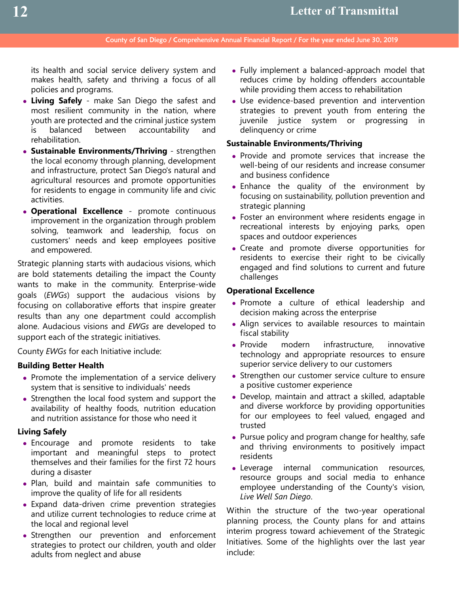its health and social service delivery system and makes health, safety and thriving a focus of all policies and programs.

- **Living Safely** make San Diego the safest and most resilient community in the nation, where youth are protected and the criminal justice system is balanced between accountability and rehabilitation.
- **Sustainable Environments/Thriving** strengthen the local economy through planning, development and infrastructure, protect San Diego's natural and agricultural resources and promote opportunities for residents to engage in community life and civic activities.
- **Operational Excellence** promote continuous improvement in the organization through problem solving, teamwork and leadership, focus on customers' needs and keep employees positive and empowered.

Strategic planning starts with audacious visions, which are bold statements detailing the impact the County wants to make in the community. Enterprise-wide goals (*EWGs*) support the audacious visions by focusing on collaborative efforts that inspire greater results than any one department could accomplish alone. Audacious visions and *EWGs* are developed to support each of the strategic initiatives.

County *EWGs* for each Initiative include:

## **Building Better Health**

- Promote the implementation of a service delivery system that is sensitive to individuals' needs
- Strengthen the local food system and support the availability of healthy foods, nutrition education and nutrition assistance for those who need it

## **Living Safely**

- Encourage and promote residents to take important and meaningful steps to protect themselves and their families for the first 72 hours during a disaster
- Plan, build and maintain safe communities to improve the quality of life for all residents
- Expand data-driven crime prevention strategies and utilize current technologies to reduce crime at the local and regional level
- Strengthen our prevention and enforcement strategies to protect our children, youth and older adults from neglect and abuse
- Fully implement a balanced-approach model that reduces crime by holding offenders accountable while providing them access to rehabilitation
- Use evidence-based prevention and intervention strategies to prevent youth from entering the juvenile justice system or progressing in delinquency or crime

### **Sustainable Environments/Thriving**

- Provide and promote services that increase the well-being of our residents and increase consumer and business confidence
- Enhance the quality of the environment by focusing on sustainability, pollution prevention and strategic planning
- Foster an environment where residents engage in recreational interests by enjoying parks, open spaces and outdoor experiences
- Create and promote diverse opportunities for residents to exercise their right to be civically engaged and find solutions to current and future challenges

## **Operational Excellence**

- Promote a culture of ethical leadership and decision making across the enterprise
- Align services to available resources to maintain fiscal stability
- Provide modern infrastructure, innovative technology and appropriate resources to ensure superior service delivery to our customers
- Strengthen our customer service culture to ensure a positive customer experience
- Develop, maintain and attract a skilled, adaptable and diverse workforce by providing opportunities for our employees to feel valued, engaged and trusted
- Pursue policy and program change for healthy, safe and thriving environments to positively impact residents
- Leverage internal communication resources, resource groups and social media to enhance employee understanding of the County's vision, *Live Well San Diego*.

Within the structure of the two-year operational planning process, the County plans for and attains interim progress toward achievement of the Strategic Initiatives. Some of the highlights over the last year include: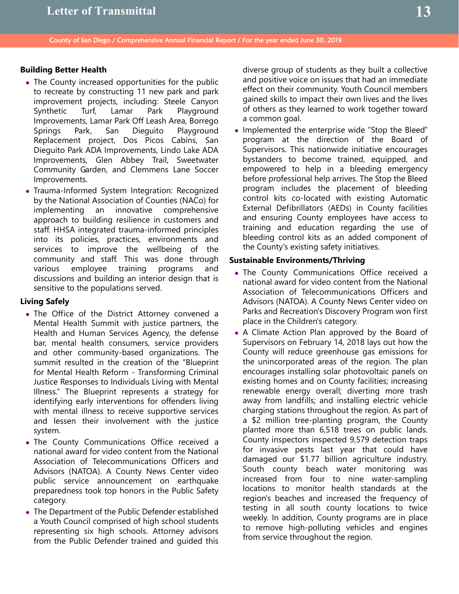# **Building Better Health**

- The County increased opportunities for the public to recreate by constructing 11 new park and park improvement projects, including: Steele Canyon Synthetic Turf, Lamar Park Playground Improvements, Lamar Park Off Leash Area, Borrego Springs Park, San Dieguito Playground Replacement project, Dos Picos Cabins, San Dieguito Park ADA Improvements, Lindo Lake ADA Improvements, Glen Abbey Trail, Sweetwater Community Garden, and Clemmens Lane Soccer Improvements.
- Trauma-Informed System Integration: Recognized by the National Association of Counties (NACo) for implementing an innovative comprehensive approach to building resilience in customers and staff. HHSA integrated trauma-informed principles into its policies, practices, environments and services to improve the wellbeing of the community and staff. This was done through various employee training programs and discussions and building an interior design that is sensitive to the populations served.

# **Living Safely**

- The Office of the District Attorney convened a Mental Health Summit with justice partners, the Health and Human Services Agency, the defense bar, mental health consumers, service providers and other community-based organizations. The summit resulted in the creation of the "Blueprint for Mental Health Reform - Transforming Criminal Justice Responses to Individuals Living with Mental Illness." The Blueprint represents a strategy for identifying early interventions for offenders living with mental illness to receive supportive services and lessen their involvement with the justice system.
- The County Communications Office received a national award for video content from the National Association of Telecommunications Officers and Advisors (NATOA). A County News Center video public service announcement on earthquake preparedness took top honors in the Public Safety category.
- The Department of the Public Defender established a Youth Council comprised of high school students representing six high schools. Attorney advisors from the Public Defender trained and guided this

diverse group of students as they built a collective and positive voice on issues that had an immediate effect on their community. Youth Council members gained skills to impact their own lives and the lives of others as they learned to work together toward a common goal.

• Implemented the enterprise wide "Stop the Bleed" program at the direction of the Board of Supervisors. This nationwide initiative encourages bystanders to become trained, equipped, and empowered to help in a bleeding emergency before professional help arrives. The Stop the Bleed program includes the placement of bleeding control kits co-located with existing Automatic External Defibrillators (AEDs) in County facilities and ensuring County employees have access to training and education regarding the use of bleeding control kits as an added component of the County's existing safety initiatives.

# **Sustainable Environments/Thriving**

- . The County Communications Office received a national award for video content from the National Association of Telecommunications Officers and Advisors (NATOA). A County News Center video on Parks and Recreation's Discovery Program won first place in the Children's category.
- A Climate Action Plan approved by the Board of Supervisors on February 14, 2018 lays out how the County will reduce greenhouse gas emissions for the unincorporated areas of the region. The plan encourages installing solar photovoltaic panels on existing homes and on County facilities; increasing renewable energy overall; diverting more trash away from landfills; and installing electric vehicle charging stations throughout the region. As part of a \$2 million tree-planting program, the County planted more than 6,518 trees on public lands. County inspectors inspected 9,579 detection traps for invasive pests last year that could have damaged our \$1.77 billion agriculture industry. South county beach water monitoring was increased from four to nine water-sampling locations to monitor health standards at the region's beaches and increased the frequency of testing in all south county locations to twice weekly. In addition, County programs are in place to remove high-polluting vehicles and engines from service throughout the region.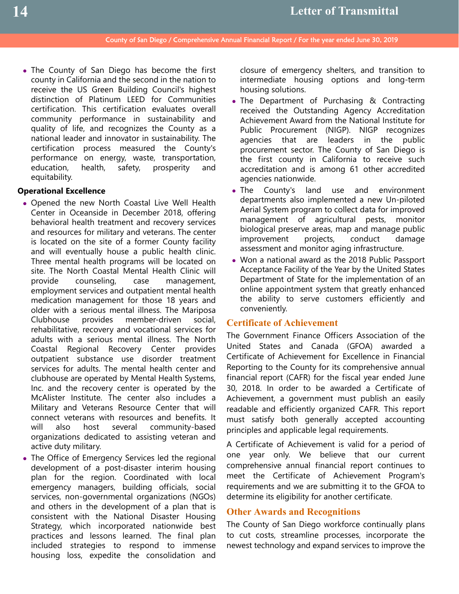• The County of San Diego has become the first county in California and the second in the nation to receive the US Green Building Council's highest distinction of Platinum LEED for Communities certification. This certification evaluates overall community performance in sustainability and quality of life, and recognizes the County as a national leader and innovator in sustainability. The certification process measured the County's performance on energy, waste, transportation, education, health, safety, prosperity and equitability.

## **Operational Excellence**

- Opened the new North Coastal Live Well Health Center in Oceanside in December 2018, offering behavioral health treatment and recovery services and resources for military and veterans. The center is located on the site of a former County facility and will eventually house a public health clinic. Three mental health programs will be located on site. The North Coastal Mental Health Clinic will provide counseling, case management, employment services and outpatient mental health medication management for those 18 years and older with a serious mental illness. The Mariposa Clubhouse provides member-driven social, rehabilitative, recovery and vocational services for adults with a serious mental illness. The North Coastal Regional Recovery Center provides outpatient substance use disorder treatment services for adults. The mental health center and clubhouse are operated by Mental Health Systems, Inc. and the recovery center is operated by the McAlister Institute. The center also includes a Military and Veterans Resource Center that will connect veterans with resources and benefits. It will also host several community-based organizations dedicated to assisting veteran and active duty military.
- The Office of Emergency Services led the regional development of a post-disaster interim housing plan for the region. Coordinated with local emergency managers, building officials, social services, non-governmental organizations (NGOs) and others in the development of a plan that is consistent with the National Disaster Housing Strategy, which incorporated nationwide best practices and lessons learned. The final plan included strategies to respond to immense housing loss, expedite the consolidation and

closure of emergency shelters, and transition to intermediate housing options and long-term housing solutions.

- The Department of Purchasing & Contracting received the Outstanding Agency Accreditation Achievement Award from the National Institute for Public Procurement (NIGP). NIGP recognizes agencies that are leaders in the public procurement sector. The County of San Diego is the first county in California to receive such accreditation and is among 61 other accredited agencies nationwide.
- The County's land use and environment departments also implemented a new Un-piloted Aerial System program to collect data for improved management of agricultural pests, monitor biological preserve areas, map and manage public improvement projects, conduct damage assessment and monitor aging infrastructure.
- Won a national award as the 2018 Public Passport Acceptance Facility of the Year by the United States Department of State for the implementation of an online appointment system that greatly enhanced the ability to serve customers efficiently and conveniently.

## **Certificate of Achievement**

The Government Finance Officers Association of the United States and Canada (GFOA) awarded a Certificate of Achievement for Excellence in Financial Reporting to the County for its comprehensive annual financial report (CAFR) for the fiscal year ended June 30, 2018. In order to be awarded a Certificate of Achievement, a government must publish an easily readable and efficiently organized CAFR. This report must satisfy both generally accepted accounting principles and applicable legal requirements.

A Certificate of Achievement is valid for a period of one year only. We believe that our current comprehensive annual financial report continues to meet the Certificate of Achievement Program's requirements and we are submitting it to the GFOA to determine its eligibility for another certificate.

# **Other Awards and Recognitions**

The County of San Diego workforce continually plans to cut costs, streamline processes, incorporate the newest technology and expand services to improve the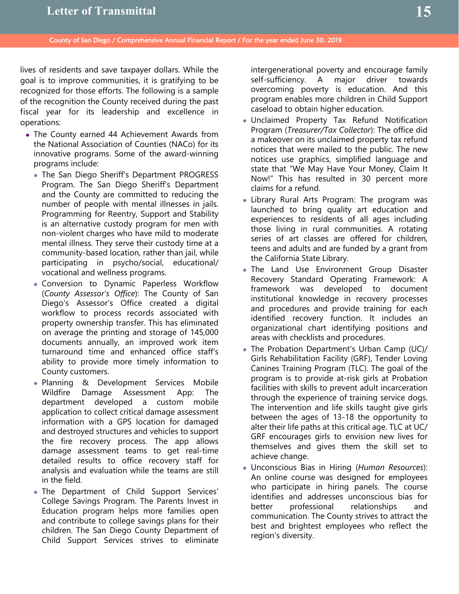lives of residents and save taxpayer dollars. While the goal is to improve communities, it is gratifying to be recognized for those efforts. The following is a sample of the recognition the County received during the past fiscal year for its leadership and excellence in operations:

- The County earned 44 Achievement Awards from the National Association of Counties (NACo) for its innovative programs. Some of the award-winning programs include:
	- The San Diego Sheriff's Department PROGRESS Program. The San Diego Sheriff's Department and the County are committed to reducing the number of people with mental illnesses in jails. Programming for Reentry, Support and Stability is an alternative custody program for men with non-violent charges who have mild to moderate mental illness. They serve their custody time at a community-based location, rather than jail, while participating in psycho/social, educational/ vocational and wellness programs.
	- Conversion to Dynamic Paperless Workflow (*County Assessor's Office*): The County of San Diego's Assessor's Office created a digital workflow to process records associated with property ownership transfer. This has eliminated on average the printing and storage of 145,000 documents annually, an improved work item turnaround time and enhanced office staff's ability to provide more timely information to County customers.
	- Planning & Development Services Mobile Wildfire Damage Assessment App: The department developed a custom mobile application to collect critical damage assessment information with a GPS location for damaged and destroyed structures and vehicles to support the fire recovery process. The app allows damage assessment teams to get real-time detailed results to office recovery staff for analysis and evaluation while the teams are still in the field.
	- The Department of Child Support Services' College Savings Program. The Parents Invest in Education program helps more families open and contribute to college savings plans for their children. The San Diego County Department of Child Support Services strives to eliminate

intergenerational poverty and encourage family self-sufficiency. A major driver towards overcoming poverty is education. And this program enables more children in Child Support caseload to obtain higher education.

- Unclaimed Property Tax Refund Notification Program (*Treasurer/Tax Collector*): The office did a makeover on its unclaimed property tax refund notices that were mailed to the public. The new notices use graphics, simplified language and state that "We May Have Your Money, Claim It Now!" This has resulted in 30 percent more claims for a refund.
- Library Rural Arts Program: The program was launched to bring quality art education and experiences to residents of all ages including those living in rural communities. A rotating series of art classes are offered for children, teens and adults and are funded by a grant from the California State Library.
- The Land Use Environment Group Disaster Recovery Standard Operating Framework: A framework was developed to document institutional knowledge in recovery processes and procedures and provide training for each identified recovery function. It includes an organizational chart identifying positions and areas with checklists and procedures.
- The Probation Department's Urban Camp (UC)/ Girls Rehabilitation Facility (GRF), Tender Loving Canines Training Program (TLC). The goal of the program is to provide at-risk girls at Probation facilities with skills to prevent adult incarceration through the experience of training service dogs. The intervention and life skills taught give girls between the ages of 13-18 the opportunity to alter their life paths at this critical age. TLC at UC/ GRF encourages girls to envision new lives for themselves and gives them the skill set to achieve change.
- Unconscious Bias in Hiring (*Human Resources*): An online course was designed for employees who participate in hiring panels. The course identifies and addresses unconscious bias for better professional relationships and communication. The County strives to attract the best and brightest employees who reflect the region's diversity.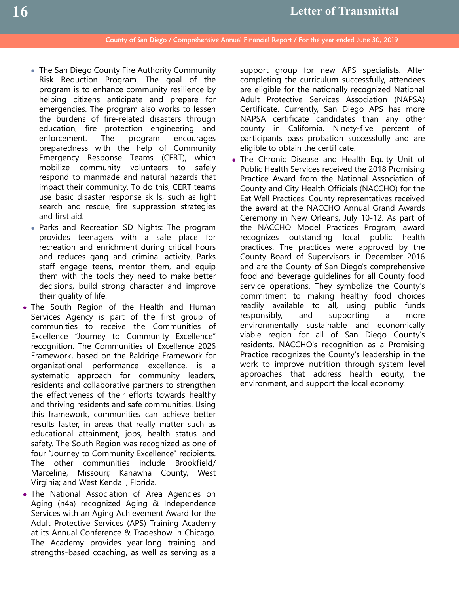- The San Diego County Fire Authority Community Risk Reduction Program. The goal of the program is to enhance community resilience by helping citizens anticipate and prepare for emergencies. The program also works to lessen the burdens of fire-related disasters through education, fire protection engineering and enforcement. The program encourages preparedness with the help of Community Emergency Response Teams (CERT), which mobilize community volunteers to safely respond to manmade and natural hazards that impact their community. To do this, CERT teams use basic disaster response skills, such as light search and rescue, fire suppression strategies and first aid.
- Parks and Recreation SD Nights: The program provides teenagers with a safe place for recreation and enrichment during critical hours and reduces gang and criminal activity. Parks staff engage teens, mentor them, and equip them with the tools they need to make better decisions, build strong character and improve their quality of life.
- The South Region of the Health and Human Services Agency is part of the first group of communities to receive the Communities of Excellence "Journey to Community Excellence" recognition. The Communities of Excellence 2026 Framework, based on the Baldrige Framework for organizational performance excellence, is a systematic approach for community leaders, residents and collaborative partners to strengthen the effectiveness of their efforts towards healthy and thriving residents and safe communities. Using this framework, communities can achieve better results faster, in areas that really matter such as educational attainment, jobs, health status and safety. The South Region was recognized as one of four "Journey to Community Excellence" recipients. The other communities include Brookfield/ Marceline, Missouri; Kanawha County, West Virginia; and West Kendall, Florida.
- The National Association of Area Agencies on Aging (n4a) recognized Aging & Independence Services with an Aging Achievement Award for the Adult Protective Services (APS) Training Academy at its Annual Conference & Tradeshow in Chicago. The Academy provides year-long training and strengths-based coaching, as well as serving as a

support group for new APS specialists. After completing the curriculum successfully, attendees are eligible for the nationally recognized National Adult Protective Services Association (NAPSA) Certificate. Currently, San Diego APS has more NAPSA certificate candidates than any other county in California. Ninety-five percent of participants pass probation successfully and are eligible to obtain the certificate.

 The Chronic Disease and Health Equity Unit of Public Health Services received the 2018 Promising Practice Award from the National Association of County and City Health Officials (NACCHO) for the Eat Well Practices. County representatives received the award at the NACCHO Annual Grand Awards Ceremony in New Orleans, July 10-12. As part of the NACCHO Model Practices Program, award recognizes outstanding local public health practices. The practices were approved by the County Board of Supervisors in December 2016 and are the County of San Diego's comprehensive food and beverage guidelines for all County food service operations. They symbolize the County's commitment to making healthy food choices readily available to all, using public funds responsibly, and supporting a more environmentally sustainable and economically viable region for all of San Diego County's residents. NACCHO's recognition as a Promising Practice recognizes the County's leadership in the work to improve nutrition through system level approaches that address health equity, the environment, and support the local economy.